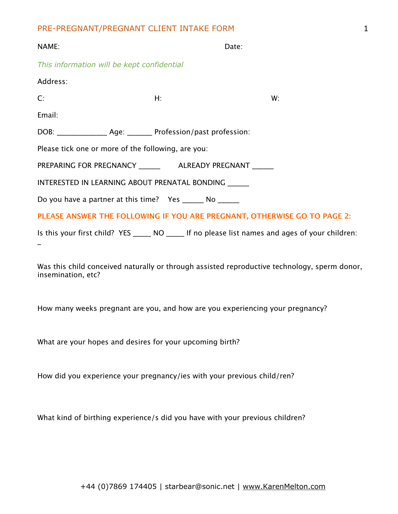| NAME:                                                                                             | Date: |    |  |
|---------------------------------------------------------------------------------------------------|-------|----|--|
| This information will be kept confidential                                                        |       |    |  |
| Address:                                                                                          |       |    |  |
| C:                                                                                                | $H$ : | W: |  |
| Email:                                                                                            |       |    |  |
| DOB: ___________________ Age: _________ Profession/past profession:                               |       |    |  |
| Please tick one or more of the following, are you:                                                |       |    |  |
| PREPARING FOR PREGNANCY ________ ALREADY PREGNANT ______                                          |       |    |  |
| INTERESTED IN LEARNING ABOUT PRENATAL BONDING _____                                               |       |    |  |
| Do you have a partner at this time? Yes _______ No _______                                        |       |    |  |
| PLEASE ANSWER THE FOLLOWING IF YOU ARE PREGNANT, OTHERWISE GO TO PAGE 2:                          |       |    |  |
| Is this your first child? YES ______ NO ______ If no please list names and ages of your children: |       |    |  |

Was this child conceived naturally or through assisted reproductive technology, sperm donor, insemination, etc?

How many weeks pregnant are you, and how are you experiencing your pregnancy?

What are your hopes and desires for your upcoming birth?

How did you experience your pregnancy/ies with your previous child/ren?

What kind of birthing experience/s did you have with your previous children?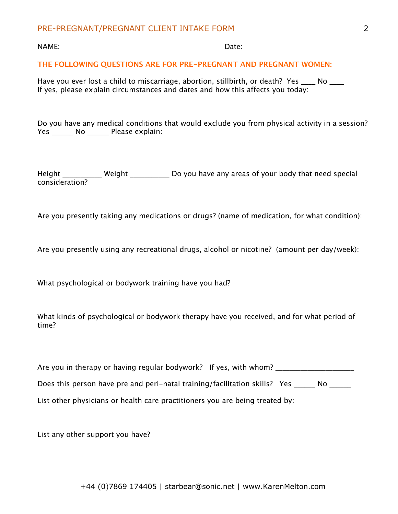NAME: Date:

### **THE FOLLOWING QUESTIONS ARE FOR PRE-PREGNANT AND PREGNANT WOMEN:**

Have you ever lost a child to miscarriage, abortion, stillbirth, or death? Yes \_\_\_\_ No \_\_\_\_ If yes, please explain circumstances and dates and how this affects you today:

Do you have any medical conditions that would exclude you from physical activity in a session? Yes \_\_\_\_\_\_\_ No \_\_\_\_\_\_\_ Please explain:

Height \_\_\_\_\_\_\_\_\_\_\_\_ Weight \_\_\_\_\_\_\_\_\_\_\_\_\_ Do you have any areas of your body that need special consideration?

Are you presently taking any medications or drugs? (name of medication, for what condition):

Are you presently using any recreational drugs, alcohol or nicotine? (amount per day/week):

What psychological or bodywork training have you had?

What kinds of psychological or bodywork therapy have you received, and for what period of time?

| Are you in therapy or having regular bodywork? If yes, with whom?                 |
|-----------------------------------------------------------------------------------|
| Does this person have pre and peri-natal training/facilitation skills? Yes<br>No. |
| List other physicians or health care practitioners you are being treated by:      |

List any other support you have?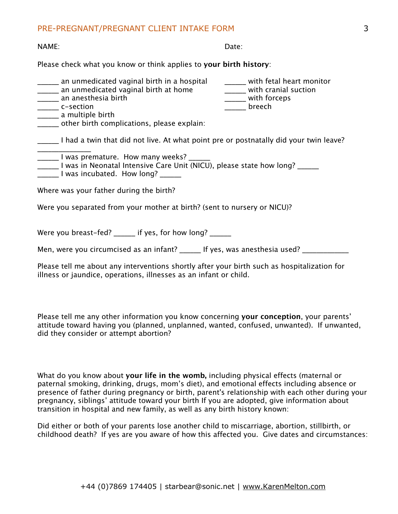NAME: Date:

Please check what you know or think applies to **your birth history**:

| an unmedicated vaginal birth in a hospital<br>an unmedicated vaginal birth at home<br>an anesthesia birth<br>______ c-section<br>a multiple birth<br>other birth complications, please explain: | with fetal heart monitor<br>with cranial suction<br>with forceps<br>breech |  |  |
|-------------------------------------------------------------------------------------------------------------------------------------------------------------------------------------------------|----------------------------------------------------------------------------|--|--|
| I had a twin that did not live. At what point pre or postnatally did your twin leave?                                                                                                           |                                                                            |  |  |
| ______I was premature. How many weeks? _<br>I was in Neonatal Intensive Care Unit (NICU), please state how long?<br>I was incubated. How long?                                                  |                                                                            |  |  |
| Where was your father during the birth?                                                                                                                                                         |                                                                            |  |  |
| Were you separated from your mother at birth? (sent to nursery or NICU)?                                                                                                                        |                                                                            |  |  |
| Were you breast-fed? ______ if yes, for how long? ______                                                                                                                                        |                                                                            |  |  |
| Men, were you circumcised as an infant? $\qquad \qquad$ If yes, was anesthesia used?                                                                                                            |                                                                            |  |  |

Please tell me about any interventions shortly after your birth such as hospitalization for illness or jaundice, operations, illnesses as an infant or child.

Please tell me any other information you know concerning **your conception**, your parents' attitude toward having you (planned, unplanned, wanted, confused, unwanted). If unwanted, did they consider or attempt abortion?

What do you know about **your life in the womb,** including physical effects (maternal or paternal smoking, drinking, drugs, mom's diet), and emotional effects including absence or presence of father during pregnancy or birth, parent's relationship with each other during your pregnancy, siblings' attitude toward your birth If you are adopted, give information about transition in hospital and new family, as well as any birth history known:

Did either or both of your parents lose another child to miscarriage, abortion, stillbirth, or childhood death? If yes are you aware of how this affected you. Give dates and circumstances: